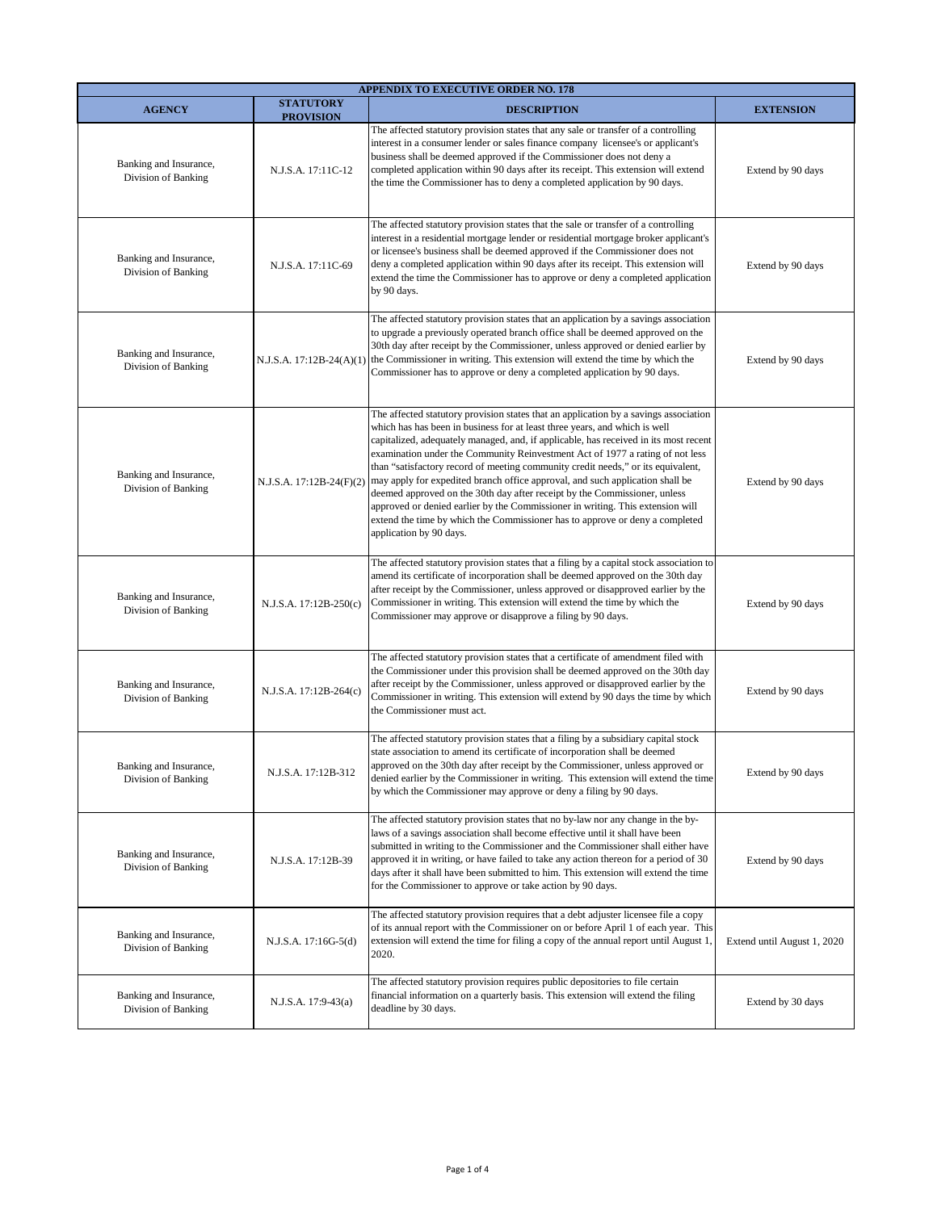| <b>APPENDIX TO EXECUTIVE ORDER NO. 178</b>    |                                      |                                                                                                                                                                                                                                                                                                                                                                                                                                                                                                                                                                                                                                                                                                                                                                                            |                             |  |  |
|-----------------------------------------------|--------------------------------------|--------------------------------------------------------------------------------------------------------------------------------------------------------------------------------------------------------------------------------------------------------------------------------------------------------------------------------------------------------------------------------------------------------------------------------------------------------------------------------------------------------------------------------------------------------------------------------------------------------------------------------------------------------------------------------------------------------------------------------------------------------------------------------------------|-----------------------------|--|--|
| <b>AGENCY</b>                                 | <b>STATUTORY</b><br><b>PROVISION</b> | <b>DESCRIPTION</b>                                                                                                                                                                                                                                                                                                                                                                                                                                                                                                                                                                                                                                                                                                                                                                         | <b>EXTENSION</b>            |  |  |
| Banking and Insurance,<br>Division of Banking | N.J.S.A. 17:11C-12                   | The affected statutory provision states that any sale or transfer of a controlling<br>interest in a consumer lender or sales finance company licensee's or applicant's<br>business shall be deemed approved if the Commissioner does not deny a<br>completed application within 90 days after its receipt. This extension will extend<br>the time the Commissioner has to deny a completed application by 90 days.                                                                                                                                                                                                                                                                                                                                                                         | Extend by 90 days           |  |  |
| Banking and Insurance,<br>Division of Banking | N.J.S.A. 17:11C-69                   | The affected statutory provision states that the sale or transfer of a controlling<br>interest in a residential mortgage lender or residential mortgage broker applicant's<br>or licensee's business shall be deemed approved if the Commissioner does not<br>deny a completed application within 90 days after its receipt. This extension will<br>extend the time the Commissioner has to approve or deny a completed application<br>by 90 days.                                                                                                                                                                                                                                                                                                                                         | Extend by 90 days           |  |  |
| Banking and Insurance,<br>Division of Banking | $N.J.S.A. 17:12B-24(A)(1)$           | The affected statutory provision states that an application by a savings association<br>to upgrade a previously operated branch office shall be deemed approved on the<br>30th day after receipt by the Commissioner, unless approved or denied earlier by<br>the Commissioner in writing. This extension will extend the time by which the<br>Commissioner has to approve or deny a completed application by 90 days.                                                                                                                                                                                                                                                                                                                                                                     | Extend by 90 days           |  |  |
| Banking and Insurance,<br>Division of Banking | N.J.S.A. 17:12B-24(F)(2)             | The affected statutory provision states that an application by a savings association<br>which has has been in business for at least three years, and which is well<br>capitalized, adequately managed, and, if applicable, has received in its most recent<br>examination under the Community Reinvestment Act of 1977 a rating of not less<br>than "satisfactory record of meeting community credit needs," or its equivalent,<br>may apply for expedited branch office approval, and such application shall be<br>deemed approved on the 30th day after receipt by the Commissioner, unless<br>approved or denied earlier by the Commissioner in writing. This extension will<br>extend the time by which the Commissioner has to approve or deny a completed<br>application by 90 days. | Extend by 90 days           |  |  |
| Banking and Insurance,<br>Division of Banking | N.J.S.A. 17:12B-250(c)               | The affected statutory provision states that a filing by a capital stock association to<br>amend its certificate of incorporation shall be deemed approved on the 30th day<br>after receipt by the Commissioner, unless approved or disapproved earlier by the<br>Commissioner in writing. This extension will extend the time by which the<br>Commissioner may approve or disapprove a filing by 90 days.                                                                                                                                                                                                                                                                                                                                                                                 | Extend by 90 days           |  |  |
| Banking and Insurance,<br>Division of Banking | N.J.S.A. 17:12B-264(c)               | The affected statutory provision states that a certificate of amendment filed with<br>the Commissioner under this provision shall be deemed approved on the 30th day<br>after receipt by the Commissioner, unless approved or disapproved earlier by the<br>Commissioner in writing. This extension will extend by 90 days the time by which<br>the Commissioner must act.                                                                                                                                                                                                                                                                                                                                                                                                                 | Extend by 90 days           |  |  |
| Banking and Insurance,<br>Division of Banking | N.J.S.A. 17:12B-312                  | The affected statutory provision states that a filing by a subsidiary capital stock<br>state association to amend its certificate of incorporation shall be deemed<br>approved on the 30th day after receipt by the Commissioner, unless approved or<br>denied earlier by the Commissioner in writing. This extension will extend the time<br>by which the Commissioner may approve or deny a filing by 90 days.                                                                                                                                                                                                                                                                                                                                                                           | Extend by 90 days           |  |  |
| Banking and Insurance,<br>Division of Banking | N.J.S.A. 17:12B-39                   | The affected statutory provision states that no by-law nor any change in the by-<br>laws of a savings association shall become effective until it shall have been<br>submitted in writing to the Commissioner and the Commissioner shall either have<br>approved it in writing, or have failed to take any action thereon for a period of 30<br>days after it shall have been submitted to him. This extension will extend the time<br>for the Commissioner to approve or take action by 90 days.                                                                                                                                                                                                                                                                                          | Extend by 90 days           |  |  |
| Banking and Insurance,<br>Division of Banking | N.J.S.A. 17:16G-5(d)                 | The affected statutory provision requires that a debt adjuster licensee file a copy<br>of its annual report with the Commissioner on or before April 1 of each year. This<br>extension will extend the time for filing a copy of the annual report until August 1<br>2020.                                                                                                                                                                                                                                                                                                                                                                                                                                                                                                                 | Extend until August 1, 2020 |  |  |
| Banking and Insurance,<br>Division of Banking | N.J.S.A. 17:9-43(a)                  | The affected statutory provision requires public depositories to file certain<br>financial information on a quarterly basis. This extension will extend the filing<br>deadline by 30 days.                                                                                                                                                                                                                                                                                                                                                                                                                                                                                                                                                                                                 | Extend by 30 days           |  |  |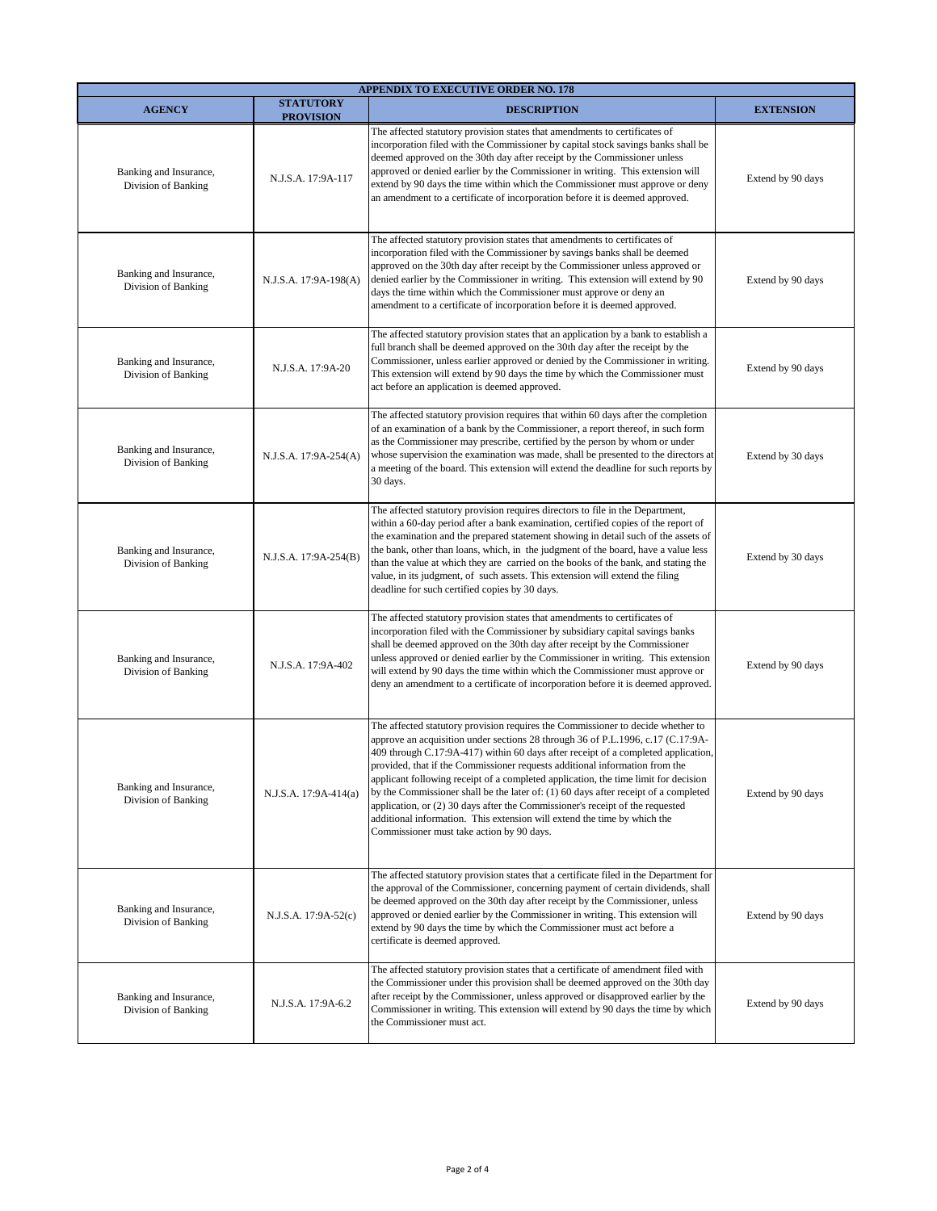| <b>APPENDIX TO EXECUTIVE ORDER NO. 178</b>    |                                      |                                                                                                                                                                                                                                                                                                                                                                                                                                                                                                                                                                                                                                                                                                                                  |                   |  |  |
|-----------------------------------------------|--------------------------------------|----------------------------------------------------------------------------------------------------------------------------------------------------------------------------------------------------------------------------------------------------------------------------------------------------------------------------------------------------------------------------------------------------------------------------------------------------------------------------------------------------------------------------------------------------------------------------------------------------------------------------------------------------------------------------------------------------------------------------------|-------------------|--|--|
| <b>AGENCY</b>                                 | <b>STATUTORY</b><br><b>PROVISION</b> | <b>DESCRIPTION</b>                                                                                                                                                                                                                                                                                                                                                                                                                                                                                                                                                                                                                                                                                                               | <b>EXTENSION</b>  |  |  |
| Banking and Insurance,<br>Division of Banking | N.J.S.A. 17:9A-117                   | The affected statutory provision states that amendments to certificates of<br>incorporation filed with the Commissioner by capital stock savings banks shall be<br>deemed approved on the 30th day after receipt by the Commissioner unless<br>approved or denied earlier by the Commissioner in writing. This extension will<br>extend by 90 days the time within which the Commissioner must approve or deny<br>an amendment to a certificate of incorporation before it is deemed approved.                                                                                                                                                                                                                                   | Extend by 90 days |  |  |
| Banking and Insurance,<br>Division of Banking | N.J.S.A. 17:9A-198(A)                | The affected statutory provision states that amendments to certificates of<br>incorporation filed with the Commissioner by savings banks shall be deemed<br>approved on the 30th day after receipt by the Commissioner unless approved or<br>denied earlier by the Commissioner in writing. This extension will extend by 90<br>days the time within which the Commissioner must approve or deny an<br>amendment to a certificate of incorporation before it is deemed approved.                                                                                                                                                                                                                                                 | Extend by 90 days |  |  |
| Banking and Insurance,<br>Division of Banking | N.J.S.A. 17:9A-20                    | The affected statutory provision states that an application by a bank to establish a<br>full branch shall be deemed approved on the 30th day after the receipt by the<br>Commissioner, unless earlier approved or denied by the Commissioner in writing.<br>This extension will extend by 90 days the time by which the Commissioner must<br>act before an application is deemed approved.                                                                                                                                                                                                                                                                                                                                       | Extend by 90 days |  |  |
| Banking and Insurance,<br>Division of Banking | N.J.S.A. 17:9A-254(A)                | The affected statutory provision requires that within 60 days after the completion<br>of an examination of a bank by the Commissioner, a report thereof, in such form<br>as the Commissioner may prescribe, certified by the person by whom or under<br>whose supervision the examination was made, shall be presented to the directors at<br>a meeting of the board. This extension will extend the deadline for such reports by<br>30 days.                                                                                                                                                                                                                                                                                    | Extend by 30 days |  |  |
| Banking and Insurance,<br>Division of Banking | N.J.S.A. 17:9A-254(B)                | The affected statutory provision requires directors to file in the Department,<br>within a 60-day period after a bank examination, certified copies of the report of<br>the examination and the prepared statement showing in detail such of the assets of<br>the bank, other than loans, which, in the judgment of the board, have a value less<br>than the value at which they are carried on the books of the bank, and stating the<br>value, in its judgment, of such assets. This extension will extend the filing<br>deadline for such certified copies by 30 days.                                                                                                                                                        | Extend by 30 days |  |  |
| Banking and Insurance,<br>Division of Banking | N.J.S.A. 17:9A-402                   | The affected statutory provision states that amendments to certificates of<br>incorporation filed with the Commissioner by subsidiary capital savings banks<br>shall be deemed approved on the 30th day after receipt by the Commissioner<br>unless approved or denied earlier by the Commissioner in writing. This extension<br>will extend by 90 days the time within which the Commissioner must approve or<br>deny an amendment to a certificate of incorporation before it is deemed approved.                                                                                                                                                                                                                              | Extend by 90 days |  |  |
| Banking and Insurance,<br>Division of Banking | N.J.S.A. 17:9A-414(a)                | The affected statutory provision requires the Commissioner to decide whether to<br>approve an acquisition under sections 28 through 36 of P.L.1996, c.17 (C.17:9A-<br>409 through C.17:9A-417) within 60 days after receipt of a completed application,<br>provided, that if the Commissioner requests additional information from the<br>applicant following receipt of a completed application, the time limit for decision<br>by the Commissioner shall be the later of: $(1)$ 60 days after receipt of a completed<br>application, or (2) 30 days after the Commissioner's receipt of the requested<br>additional information. This extension will extend the time by which the<br>Commissioner must take action by 90 days. | Extend by 90 days |  |  |
| Banking and Insurance,<br>Division of Banking | N.J.S.A. 17:9A-52(c)                 | The affected statutory provision states that a certificate filed in the Department for<br>the approval of the Commissioner, concerning payment of certain dividends, shall<br>be deemed approved on the 30th day after receipt by the Commissioner, unless<br>approved or denied earlier by the Commissioner in writing. This extension will<br>extend by 90 days the time by which the Commissioner must act before a<br>certificate is deemed approved.                                                                                                                                                                                                                                                                        | Extend by 90 days |  |  |
| Banking and Insurance,<br>Division of Banking | N.J.S.A. 17:9A-6.2                   | The affected statutory provision states that a certificate of amendment filed with<br>the Commissioner under this provision shall be deemed approved on the 30th day<br>after receipt by the Commissioner, unless approved or disapproved earlier by the<br>Commissioner in writing. This extension will extend by 90 days the time by which<br>the Commissioner must act.                                                                                                                                                                                                                                                                                                                                                       | Extend by 90 days |  |  |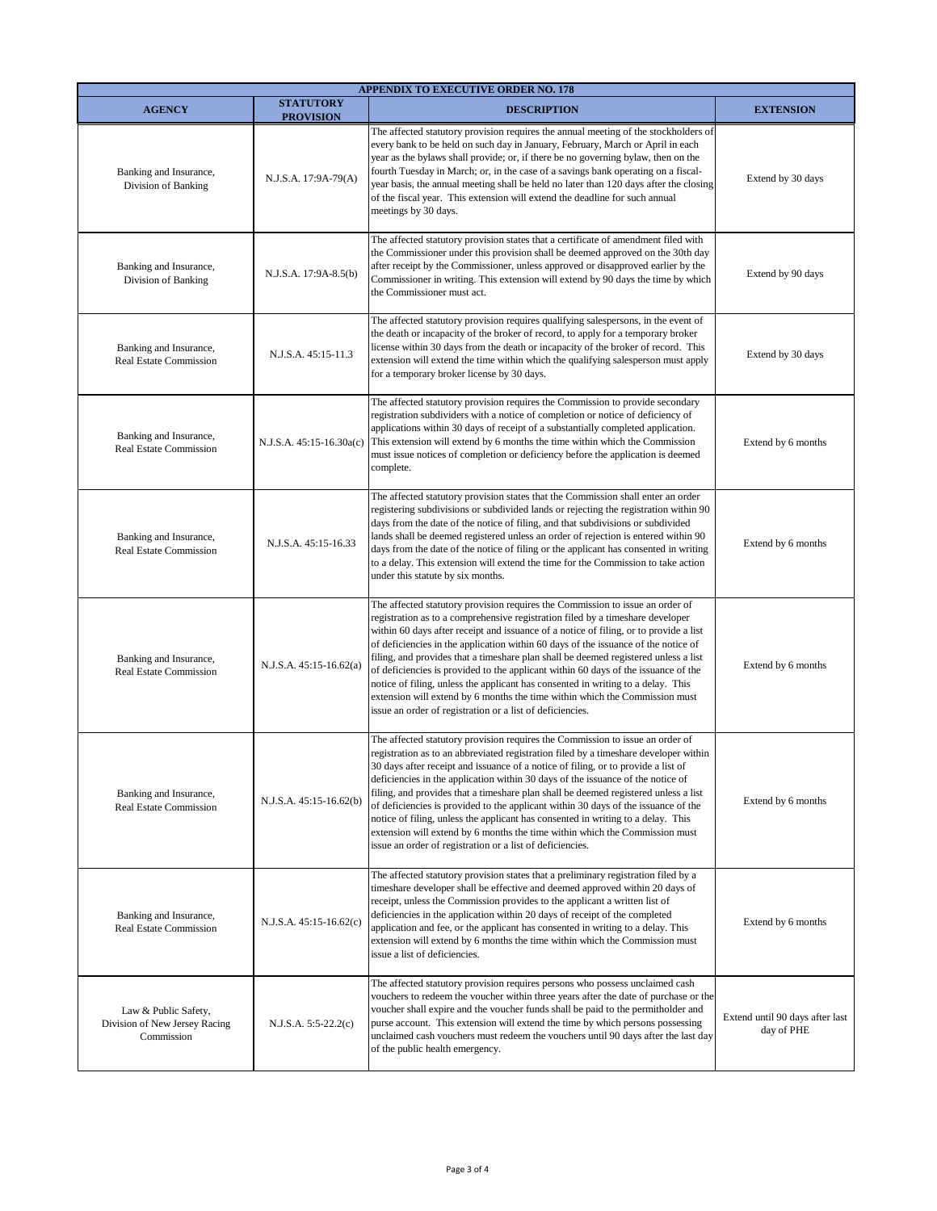|                                                                     |                                      | <b>APPENDIX TO EXECUTIVE ORDER NO. 178</b>                                                                                                                                                                                                                                                                                                                                                                                                                                                                                                                                                                                                                                                                                                                  |                                               |
|---------------------------------------------------------------------|--------------------------------------|-------------------------------------------------------------------------------------------------------------------------------------------------------------------------------------------------------------------------------------------------------------------------------------------------------------------------------------------------------------------------------------------------------------------------------------------------------------------------------------------------------------------------------------------------------------------------------------------------------------------------------------------------------------------------------------------------------------------------------------------------------------|-----------------------------------------------|
| <b>AGENCY</b>                                                       | <b>STATUTORY</b><br><b>PROVISION</b> | <b>DESCRIPTION</b>                                                                                                                                                                                                                                                                                                                                                                                                                                                                                                                                                                                                                                                                                                                                          | <b>EXTENSION</b>                              |
| Banking and Insurance,<br>Division of Banking                       | N.J.S.A. 17:9A-79(A)                 | The affected statutory provision requires the annual meeting of the stockholders of<br>every bank to be held on such day in January, February, March or April in each<br>year as the bylaws shall provide; or, if there be no governing bylaw, then on the<br>fourth Tuesday in March; or, in the case of a savings bank operating on a fiscal-<br>year basis, the annual meeting shall be held no later than 120 days after the closing<br>of the fiscal year. This extension will extend the deadline for such annual<br>meetings by 30 days.                                                                                                                                                                                                             | Extend by 30 days                             |
| Banking and Insurance,<br>Division of Banking                       | N.J.S.A. 17:9A-8.5(b)                | The affected statutory provision states that a certificate of amendment filed with<br>the Commissioner under this provision shall be deemed approved on the 30th day<br>after receipt by the Commissioner, unless approved or disapproved earlier by the<br>Commissioner in writing. This extension will extend by 90 days the time by which<br>the Commissioner must act.                                                                                                                                                                                                                                                                                                                                                                                  | Extend by 90 days                             |
| Banking and Insurance,<br>Real Estate Commission                    | N.J.S.A. 45:15-11.3                  | The affected statutory provision requires qualifying salespersons, in the event of<br>the death or incapacity of the broker of record, to apply for a temporary broker<br>license within 30 days from the death or incapacity of the broker of record. This<br>extension will extend the time within which the qualifying salesperson must apply<br>for a temporary broker license by 30 days.                                                                                                                                                                                                                                                                                                                                                              | Extend by 30 days                             |
| Banking and Insurance,<br><b>Real Estate Commission</b>             | N.J.S.A. 45:15-16.30a(c)             | The affected statutory provision requires the Commission to provide secondary<br>registration subdividers with a notice of completion or notice of deficiency of<br>applications within 30 days of receipt of a substantially completed application.<br>This extension will extend by 6 months the time within which the Commission<br>must issue notices of completion or deficiency before the application is deemed<br>complete.                                                                                                                                                                                                                                                                                                                         | Extend by 6 months                            |
| Banking and Insurance,<br><b>Real Estate Commission</b>             | N.J.S.A. 45:15-16.33                 | The affected statutory provision states that the Commission shall enter an order<br>registering subdivisions or subdivided lands or rejecting the registration within 90<br>days from the date of the notice of filing, and that subdivisions or subdivided<br>lands shall be deemed registered unless an order of rejection is entered within 90<br>days from the date of the notice of filing or the applicant has consented in writing<br>to a delay. This extension will extend the time for the Commission to take action<br>under this statute by six months.                                                                                                                                                                                         | Extend by 6 months                            |
| Banking and Insurance,<br><b>Real Estate Commission</b>             | N.J.S.A. 45:15-16.62(a)              | The affected statutory provision requires the Commission to issue an order of<br>registration as to a comprehensive registration filed by a timeshare developer<br>within 60 days after receipt and issuance of a notice of filing, or to provide a list<br>of deficiencies in the application within 60 days of the issuance of the notice of<br>filing, and provides that a timeshare plan shall be deemed registered unless a list<br>of deficiencies is provided to the applicant within 60 days of the issuance of the<br>notice of filing, unless the applicant has consented in writing to a delay. This<br>extension will extend by 6 months the time within which the Commission must<br>issue an order of registration or a list of deficiencies. | Extend by 6 months                            |
| Banking and Insurance,<br><b>Real Estate Commission</b>             | N.J.S.A. 45:15-16.62(b)              | The affected statutory provision requires the Commission to issue an order of<br>registration as to an abbreviated registration filed by a timeshare developer within<br>30 days after receipt and issuance of a notice of filing, or to provide a list of<br>deficiencies in the application within 30 days of the issuance of the notice of<br>filing, and provides that a timeshare plan shall be deemed registered unless a list<br>of deficiencies is provided to the applicant within 30 days of the issuance of the<br>notice of filing, unless the applicant has consented in writing to a delay. This<br>extension will extend by 6 months the time within which the Commission must<br>issue an order of registration or a list of deficiencies.  | Extend by 6 months                            |
| Banking and Insurance,<br>Real Estate Commission                    | N.J.S.A. 45:15-16.62(c)              | The affected statutory provision states that a preliminary registration filed by a<br>timeshare developer shall be effective and deemed approved within 20 days of<br>receipt, unless the Commission provides to the applicant a written list of<br>deficiencies in the application within 20 days of receipt of the completed<br>application and fee, or the applicant has consented in writing to a delay. This<br>extension will extend by 6 months the time within which the Commission must<br>issue a list of deficiencies.                                                                                                                                                                                                                           | Extend by 6 months                            |
| Law & Public Safety,<br>Division of New Jersey Racing<br>Commission | $N.J.S.A. 5:5-22.2(c)$               | The affected statutory provision requires persons who possess unclaimed cash<br>vouchers to redeem the voucher within three years after the date of purchase or the<br>voucher shall expire and the voucher funds shall be paid to the permitholder and<br>purse account. This extension will extend the time by which persons possessing<br>unclaimed cash vouchers must redeem the vouchers until 90 days after the last day<br>of the public health emergency.                                                                                                                                                                                                                                                                                           | Extend until 90 days after last<br>day of PHE |